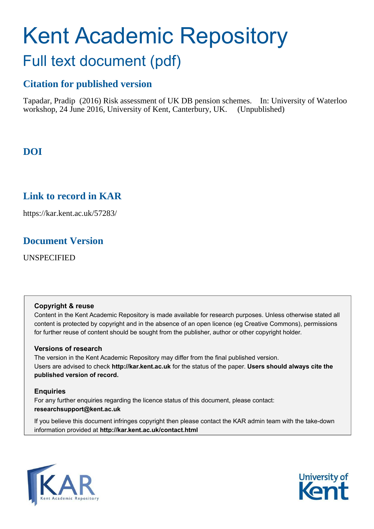# <span id="page-0-0"></span>Kent Academic Repository Full text document (pdf)

# **Citation for published version**

Tapadar, Pradip (2016) Risk assessment of UK DB pension schemes. In: University of Waterloo workshop, 24 June 2016, University of Kent, Canterbury, UK. (Unpublished)

# **DOI**

## **Link to record in KAR**

https://kar.kent.ac.uk/57283/

## **Document Version**

UNSPECIFIED

#### **Copyright & reuse**

Content in the Kent Academic Repository is made available for research purposes. Unless otherwise stated all content is protected by copyright and in the absence of an open licence (eg Creative Commons), permissions for further reuse of content should be sought from the publisher, author or other copyright holder.

#### **Versions of research**

The version in the Kent Academic Repository may differ from the final published version. Users are advised to check **http://kar.kent.ac.uk** for the status of the paper. **Users should always cite the published version of record.**

#### **Enquiries**

For any further enquiries regarding the licence status of this document, please contact: **researchsupport@kent.ac.uk**

If you believe this document infringes copyright then please contact the KAR admin team with the take-down information provided at **http://kar.kent.ac.uk/contact.html**



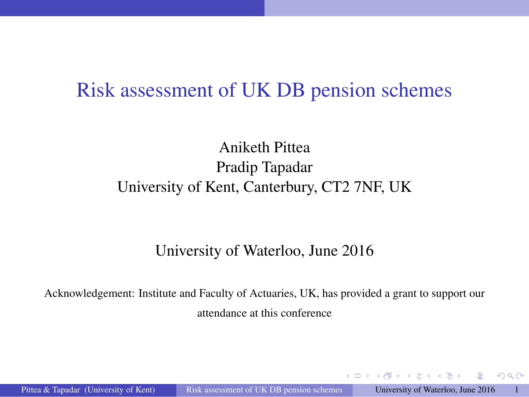#### Risk assessment of UK DB pension schemes

#### Aniketh Pittea Pradip Tapadar University of Kent, Canterbury, CT2 7NF, UK

#### University of Waterloo, June 2016

Acknowledgement: Institute and Faculty of Actuaries, UK, has provided a grant to support our attendance at this conference

Pittea & Tapadar (University of Kent) [Risk assessment of UK DB pension schemes](#page-26-0) University of Waterloo, June 2016

 $\Omega$ 

イロ トラ 何 トラ ラ トラ アイ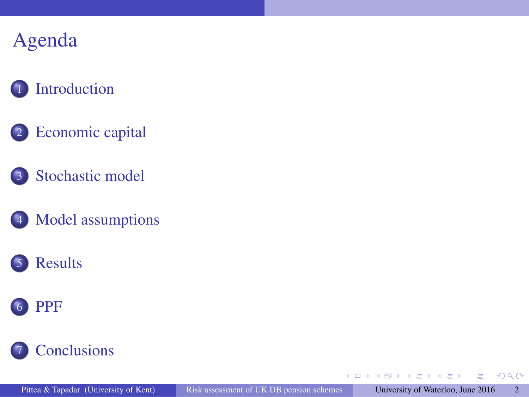#### <span id="page-2-0"></span>**[Introduction](#page-2-0)**

- 2 [Economic capital](#page-4-0)
- 3 [Stochastic model](#page-7-0)
- 4 [Model assumptions](#page-10-0)







化重新化重新

4 0 8 同  $\sim$   $299$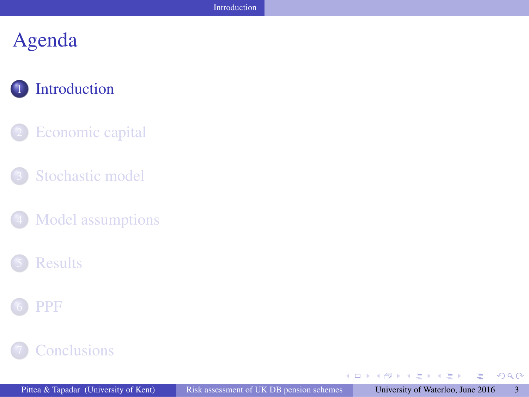#### <span id="page-3-0"></span>**[Introduction](#page-2-0)**

- [Economic capital](#page-4-0)
- [Stochastic model](#page-7-0)
- [Model assumptions](#page-10-0)





#### **[Conclusions](#page-25-0)**

 $A \oplus A \times A \oplus A \times A \oplus A$ 

4 0 8

 $299$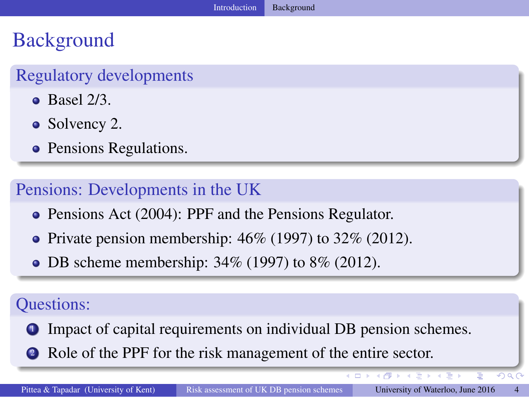### <span id="page-4-0"></span>**Background**

#### Regulatory developments

- $\bullet$  Basel 2/3.
- Solvency 2.
- Pensions Regulations.

#### Pensions: Developments in the UK

- Pensions Act (2004): PPF and the Pensions Regulator.
- Private pension membership:  $46\%$  (1997) to  $32\%$  (2012).
- DB scheme membership:  $34\%$  (1997) to  $8\%$  (2012).

#### Questions:

- **1** Impact of capital requirements on individual DB pension schemes.
- <sup>2</sup> Role of the PPF for the risk management of the entire sector.

 $\Omega$ 

押 トスミンス ミン

 $\leftarrow$   $\Box$  $\sim$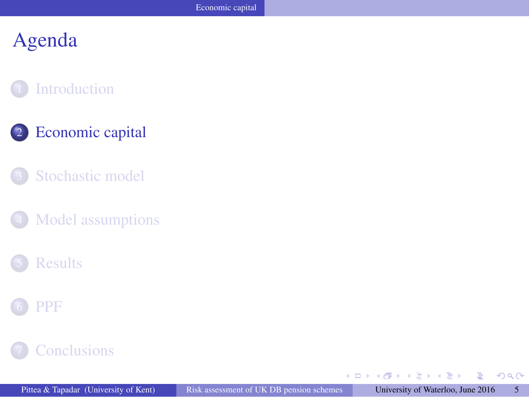#### <span id="page-5-0"></span>**[Introduction](#page-2-0)**

#### 2 [Economic capital](#page-4-0)

- [Stochastic model](#page-7-0)
- [Model assumptions](#page-10-0)

#### **[Results](#page-14-0)**



#### **[Conclusions](#page-25-0)**

 $A \oplus A \times A \oplus A \times A \oplus A$ 

4 0 8

 $299$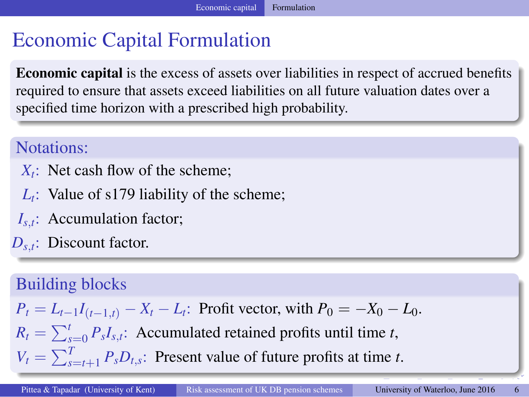### <span id="page-6-0"></span>Economic Capital Formulation

Economic capital is the excess of assets over liabilities in respect of accrued benefits required to ensure that assets exceed liabilities on all future valuation dates over a specified time horizon with a prescribed high probability.

#### Notations:

- $X_t$ : Net cash flow of the scheme;
- $L_t$ : Value of s179 liability of the scheme;
- *Is*,*t* : Accumulation factor;
- *Ds*,*<sup>t</sup>* : Discount factor.

#### Building blocks

$$
P_t = L_{t-1}I_{(t-1,t)} - X_t - L_t
$$
: Profit vector, with  $P_0 = -X_0 - L_0$ .

 $R_t = \sum_{s=0}^t P_s I_{s,t}$ : Accumulated retained profits until time *t*,

 $V_t = \sum_{s=t+1}^T P_s D_{t,s}$ : Present value of future profits at time *t*.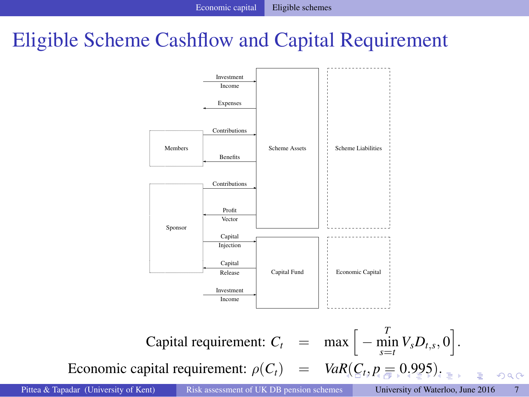### <span id="page-7-0"></span>Eligible Scheme Cashflow and Capital Requirement



Capital requirement:  $C_t$  = max  $\left[ -\min_{s=t}^T V_s D_{t,s}, 0 \right]$ . Economic ca[p](#page-5-0)ital requirement:  $\rho(C_t) = VaR(C_t, p = 0.995)$  $\rho(C_t) = VaR(C_t, p = 0.995)$  $\rho(C_t) = VaR(C_t, p = 0.995)$  $\rho(C_t) = VaR(C_t, p = 0.995)$  $\rho(C_t) = VaR(C_t, p = 0.995)$  $\rho(C_t) = VaR(C_t, p = 0.995)$  $\rho(C_t) = VaR(C_t, p = 0.995)$  $\rho(C_t) = VaR(C_t, p = 0.995)$  $\rho(C_t) = VaR(C_t, p = 0.995)$  $\rho(C_t) = VaR(C_t, p = 0.995)$  $\rho(C_t) = VaR(C_t, p = 0.995)$  $\rho(C_t) = VaR(C_t, p = 0.995)$ [.](#page-4-0)  $299$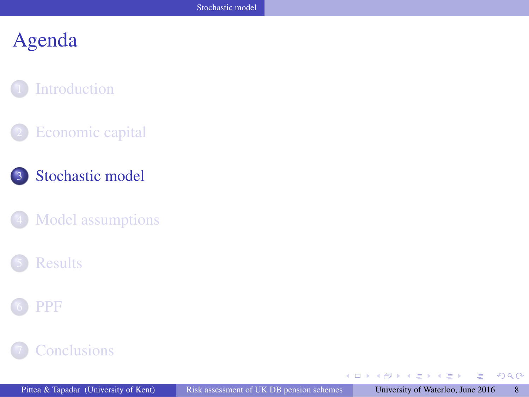#### <span id="page-8-0"></span>**[Introduction](#page-2-0)**

- [Economic capital](#page-4-0)
- 3 [Stochastic model](#page-7-0)
- [Model assumptions](#page-10-0)





#### **[Conclusions](#page-25-0)**

 $\mathbf{A} \equiv \mathbf{A} + \mathbf{A} \mathbf{B} + \mathbf{A} \equiv \mathbf{A} + \mathbf{A} \equiv \mathbf{A}$ 

 $299$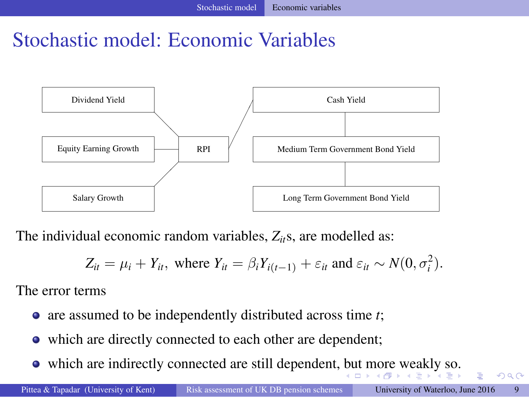### <span id="page-9-0"></span>Stochastic model: Economic Variables



The individual economic random variables, *Zit*s, are modelled as:

$$
Z_{it} = \mu_i + Y_{it}, \text{ where } Y_{it} = \beta_i Y_{i(t-1)} + \varepsilon_{it} \text{ and } \varepsilon_{it} \sim N(0, \sigma_i^2).
$$

The error terms

- are assumed to be independently distributed across time *t*;
- which are directly connected to each other are dependent;
- which are indirectly connected are still dependent, [bu](#page-7-0)[t m](#page-9-0)[ore](#page-8-0)[w](#page-7-0)[ea](#page-8-0)[kl](#page-9-0)[y](#page-6-0) [s](#page-7-0)[o](#page-9-0)[.](#page-10-0)

 $\eta$ an E.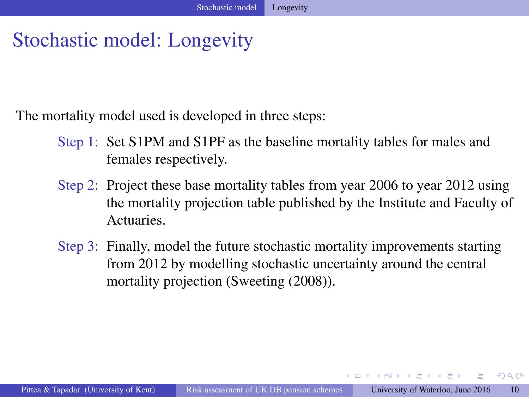### <span id="page-10-0"></span>Stochastic model: Longevity

The mortality model used is developed in three steps:

- Step 1: Set S1PM and S1PF as the baseline mortality tables for males and females respectively.
- Step 2: Project these base mortality tables from year 2006 to year 2012 using the mortality projection table published by the Institute and Faculty of Actuaries.
- Step 3: Finally, model the future stochastic mortality improvements starting from 2012 by modelling stochastic uncertainty around the central mortality projection (Sweeting (2008)).

イロ トラ 何 トラ チャラ オモル

 $\Omega$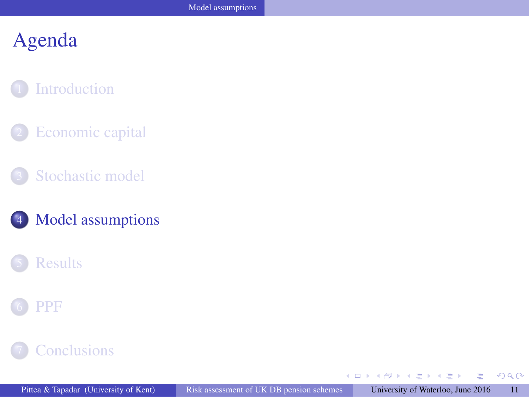#### <span id="page-11-0"></span>**[Introduction](#page-2-0)**

- [Economic capital](#page-4-0)
- [Stochastic model](#page-7-0)
- 4 [Model assumptions](#page-10-0)







 $\mathbf{A} \equiv \mathbf{A} + \mathbf{A} \mathbf{B} + \mathbf{A} \equiv \mathbf{A} + \mathbf{A} \equiv \mathbf{A}$ 

 $299$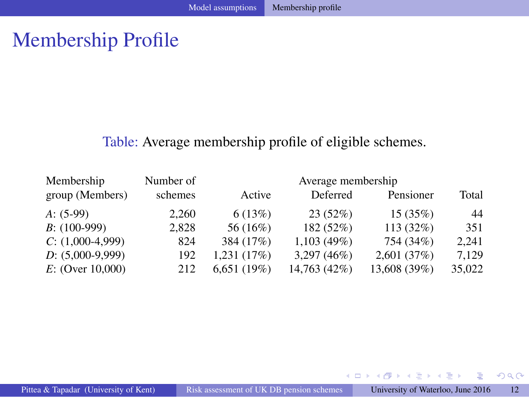#### <span id="page-12-0"></span>Membership Profile

#### Table: Average membership profile of eligible schemes.

| Membership         | Number of | Average membership |              |              |        |
|--------------------|-----------|--------------------|--------------|--------------|--------|
| group (Members)    | schemes   | Active             | Deferred     | Pensioner    | Total  |
| $A: (5-99)$        | 2,260     | 6(13%)             | 23(52%)      | 15(35%)      | 44     |
| $B: (100-999)$     | 2.828     | 56 (16%)           | 182 (52%)    | 113(32%)     | 351    |
| $C: (1,000-4,999)$ | 824       | 384 (17%)          | 1,103 (49%)  | 754 (34%)    | 2.241  |
| $D: (5,000-9,999)$ | 192       | 1,231(17%)         | 3,297(46%)   | 2,601(37%)   | 7.129  |
| $E:$ (Over 10,000) | 212       | 6,651(19%)         | 14,763 (42%) | 13,608 (39%) | 35,022 |

 $\mathbf{A} \equiv \mathbf{A} + \mathbf{A} \mathbf{B} + \mathbf{A} \equiv \mathbf{A} + \mathbf{A} \equiv \mathbf{A}$ 

 $299$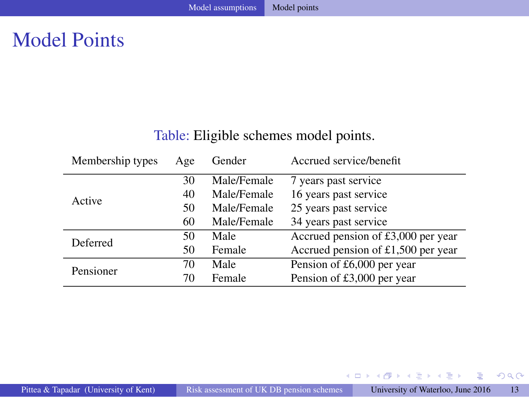#### <span id="page-13-0"></span>Model Points

#### Table: Eligible schemes model points.

| Membership types | Age | Gender      | Accrued service/benefit              |
|------------------|-----|-------------|--------------------------------------|
|                  | 30  | Male/Female | 7 years past service                 |
| Active           | 40  | Male/Female | 16 years past service                |
|                  | 50  | Male/Female | 25 years past service                |
|                  | 60  | Male/Female | 34 years past service                |
| Deferred         | 50  | Male        | Accrued pension of £3,000 per year   |
|                  | 50  | Female      | Accrued pension of $£1,500$ per year |
| Pensioner        | 70  | Male        | Pension of £6,000 per year           |
|                  | 70. | Female      | Pension of £3,000 per year           |

 $\mathbf{A} \equiv \mathbf{A} + \mathbf{A} \mathbf{B} + \mathbf{A} \equiv \mathbf{A} + \mathbf{A} \equiv \mathbf{A}$ 

 $299$ 

Ε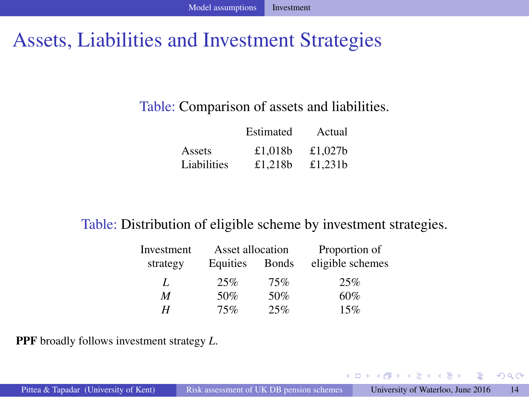#### <span id="page-14-0"></span>Assets, Liabilities and Investment Strategies

#### Table: Comparison of assets and liabilities.

|             | Estimated  | Actual  |
|-------------|------------|---------|
| Assets      | £1.018b    | £1.027b |
| Liabilities | £1.218 $b$ | £1.231b |

#### Table: Distribution of eligible scheme by investment strategies.

| Investment | Asset allocation |              | Proportion of    |  |
|------------|------------------|--------------|------------------|--|
| strategy   | Equities         | <b>Bonds</b> | eligible schemes |  |
| L          | 25%              | 75%          | 25%              |  |
| M          | 50%              | 50%          | 60%              |  |
| Н          | 75%              | 25%          | 15%              |  |

PPF broadly follows investment strategy *L*.

イロト イ押ト イヨト イヨト

 $2990$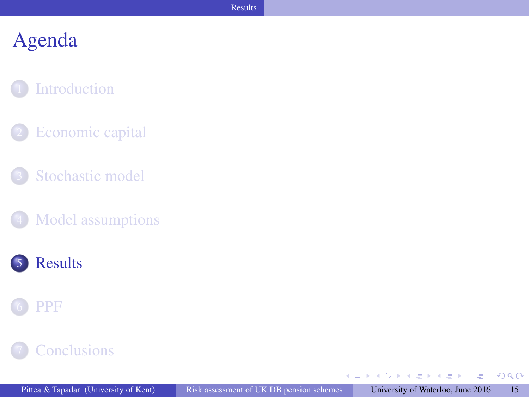#### <span id="page-15-0"></span>**[Introduction](#page-2-0)**

- [Economic capital](#page-4-0)
- [Stochastic model](#page-7-0)
- [Model assumptions](#page-10-0)





#### **[Conclusions](#page-25-0)**

 $A \oplus A \times A \oplus A \times A \oplus A$ 

4 0 8

 $299$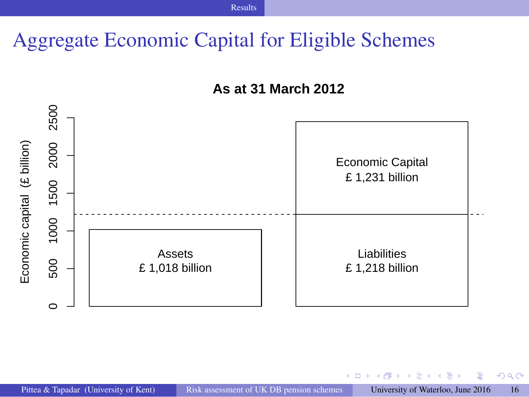#### <span id="page-16-0"></span>Aggregate Economic Capital for Eligible Schemes

**As at 31 March 2012**



 $QQ$ 

舌

4 O F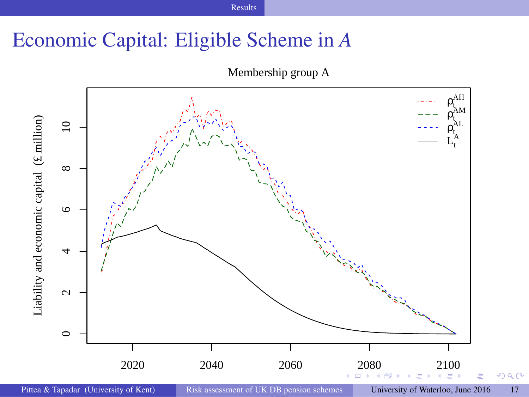#### <span id="page-17-0"></span>Economic Capital: Eligible Scheme in *A*

Membership group A



Pittea & Tapadar (University of Kent) [Risk assessment of UK DB pension schemes](#page-0-0) University of Waterloo, June 2016 17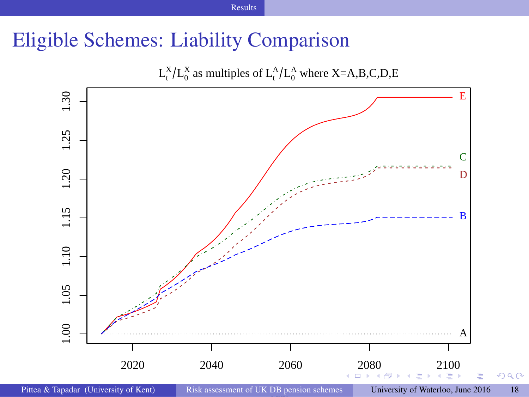#### <span id="page-18-0"></span>Eligible Schemes: Liability Comparison



Pittea & Tapadar (University of Kent) [Risk assessment of UK DB pension schemes](#page-0-0) University of Waterloo, June 2016 18

 $QQ$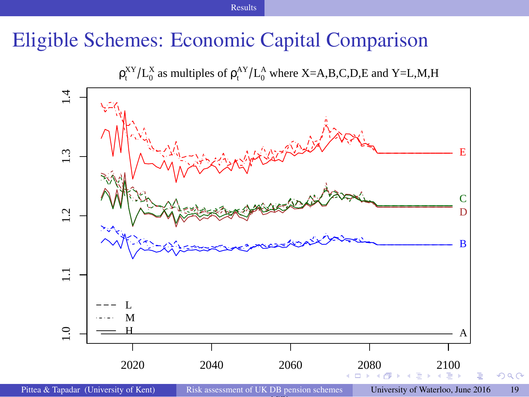#### <span id="page-19-0"></span>Eligible Schemes: Economic Capital Comparison





Pittea & Tapadar (University of Kent) [Risk assessment of UK DB pension schemes](#page-0-0) University of Waterloo, June 2016 19

 $\Omega$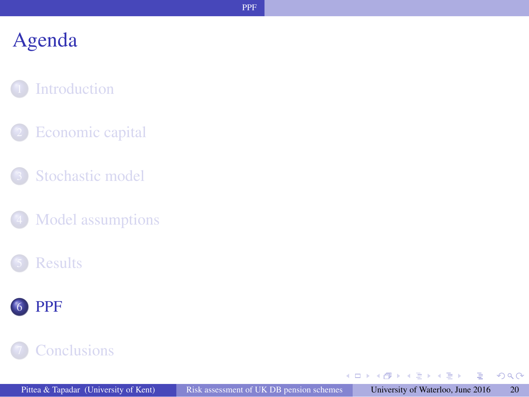#### <span id="page-20-0"></span>**[Introduction](#page-2-0)**

- [Economic capital](#page-4-0)
- [Stochastic model](#page-7-0)
- [Model assumptions](#page-10-0)







 $A \oplus A \times A \oplus A \times A \oplus A$ 

4 0 8

 $299$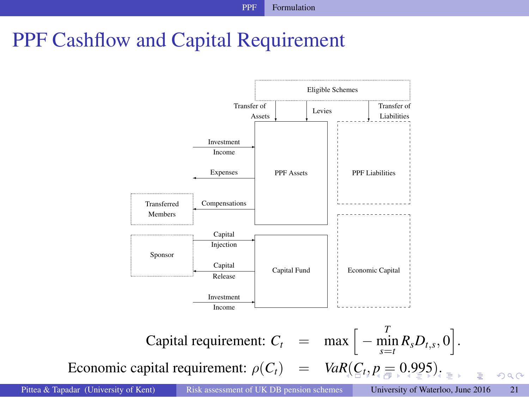#### <span id="page-21-0"></span>PPF Cashflow and Capital Requirement



Capital requirement:  $C_t$  = max  $\left[ -\min_{s=t}^T R_s D_{t,s}, 0 \right]$ . Economic ca[p](#page-19-0)ital requirement:  $\rho(C_t) = VaR(C_t, p = 0.995)$  $\rho(C_t) = VaR(C_t, p = 0.995)$  $\rho(C_t) = VaR(C_t, p = 0.995)$  $\rho(C_t) = VaR(C_t, p = 0.995)$  $\rho(C_t) = VaR(C_t, p = 0.995)$  $\rho(C_t) = VaR(C_t, p = 0.995)$  $\rho(C_t) = VaR(C_t, p = 0.995)$  $\rho(C_t) = VaR(C_t, p = 0.995)$  $\rho(C_t) = VaR(C_t, p = 0.995)$  $\rho(C_t) = VaR(C_t, p = 0.995)$  $\rho(C_t) = VaR(C_t, p = 0.995)$  $\rho(C_t) = VaR(C_t, p = 0.995)$ [.](#page-19-0)  $QQ$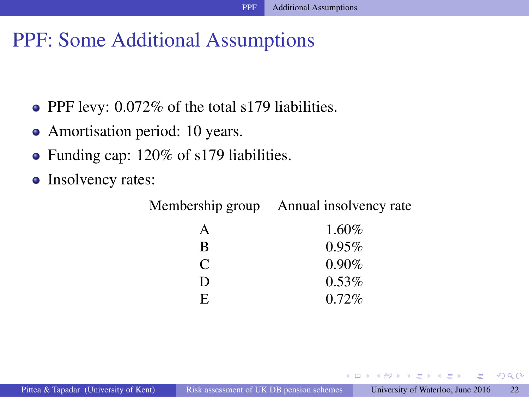#### <span id="page-22-0"></span>PPF: Some Additional Assumptions

- PPF levy: 0.072% of the total s179 liabilities.
- Amortisation period: 10 years.
- Funding cap: 120% of s179 liabilities.
- Insolvency rates:

| A  | $1.60\%$ |
|----|----------|
| B  | $0.95\%$ |
| C  | $0.90\%$ |
| D  | $0.53\%$ |
| E. | $0.72\%$ |

 $QQ$ 

 $AB = 4B + 4B +$ 

4 D F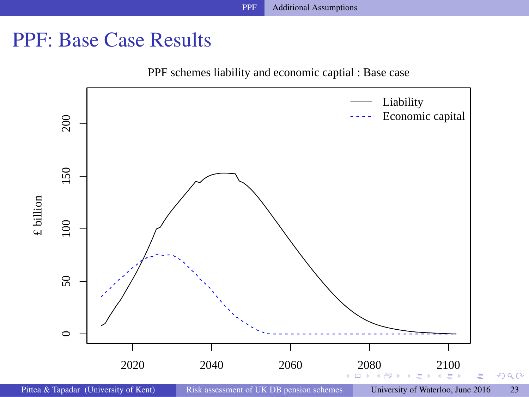#### <span id="page-23-0"></span>PPF: Base Case Results

PPF schemes liability and economic captial : Base case

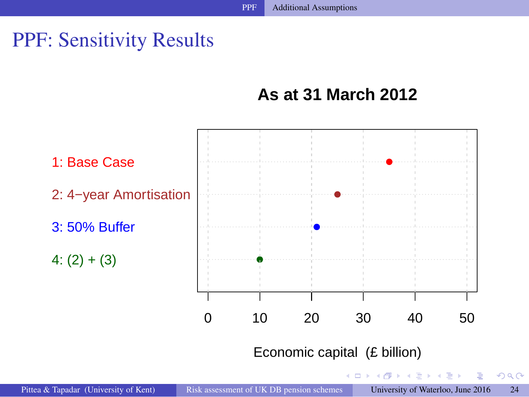#### <span id="page-24-0"></span>PPF: Sensitivity Results

#### **As at 31 March 2012**

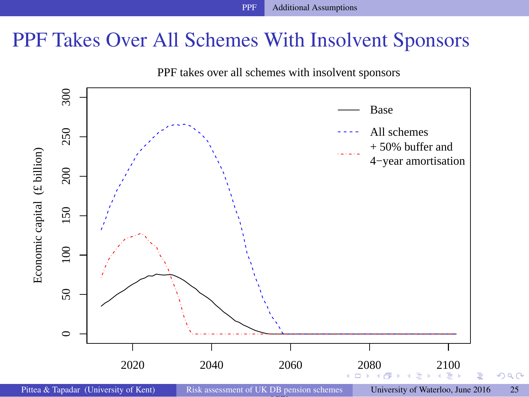#### <span id="page-25-0"></span>PPF Takes Over All Schemes With Insolvent Sponsors



 $299$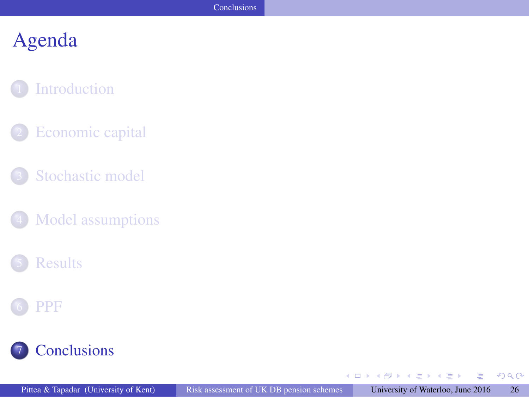#### <span id="page-26-0"></span>**[Introduction](#page-2-0)**

- [Economic capital](#page-4-0)
- [Stochastic model](#page-7-0)
- [Model assumptions](#page-10-0)

#### **[Results](#page-14-0)**

#### **[PPF](#page-19-0)**

#### **[Conclusions](#page-25-0)**

 $A \oplus A \times A \oplus A \times A \oplus A$ 

4 0 8

 $299$